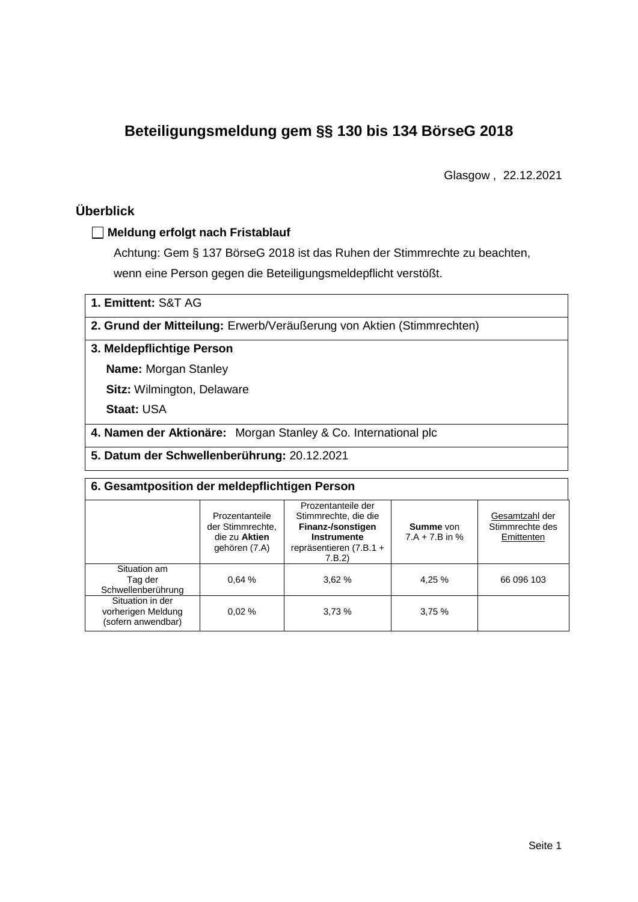# **Beteiligungsmeldung gem §§ 130 bis 134 BörseG 2018**

Glasgow , 22.12.2021

## **Überblick**

### **Meldung erfolgt nach Fristablauf**

Achtung: Gem § 137 BörseG 2018 ist das Ruhen der Stimmrechte zu beachten, wenn eine Person gegen die Beteiligungsmeldepflicht verstößt.

**1. Emittent:** S&T AG

**2. Grund der Mitteilung:** Erwerb/Veräußerung von Aktien (Stimmrechten)

## **3. Meldepflichtige Person**

**Name:** Morgan Stanley

**Sitz:** Wilmington, Delaware

**Staat:** USA

**4. Namen der Aktionäre:** Morgan Stanley & Co. International plc

**5. Datum der Schwellenberührung:** 20.12.2021

| 6. Gesamtposition der meldepflichtigen Person                |                                                                      |                                                                                                                      |                                      |                                                 |  |  |
|--------------------------------------------------------------|----------------------------------------------------------------------|----------------------------------------------------------------------------------------------------------------------|--------------------------------------|-------------------------------------------------|--|--|
|                                                              | Prozentanteile<br>der Stimmrechte.<br>die zu Aktien<br>gehören (7.A) | Prozentanteile der<br>Stimmrechte, die die<br>Finanz-/sonstigen<br>Instrumente<br>repräsentieren $(7.B.1 +$<br>7.B.2 | <b>Summe</b> von<br>$7.A + 7.B$ in % | Gesamtzahl der<br>Stimmrechte des<br>Emittenten |  |  |
| Situation am<br>Tag der<br>Schwellenberührung                | 0.64%                                                                | 3.62%                                                                                                                | 4,25 %                               | 66 096 103                                      |  |  |
| Situation in der<br>vorherigen Meldung<br>(sofern anwendbar) | 0.02%                                                                | 3.73%                                                                                                                | 3,75%                                |                                                 |  |  |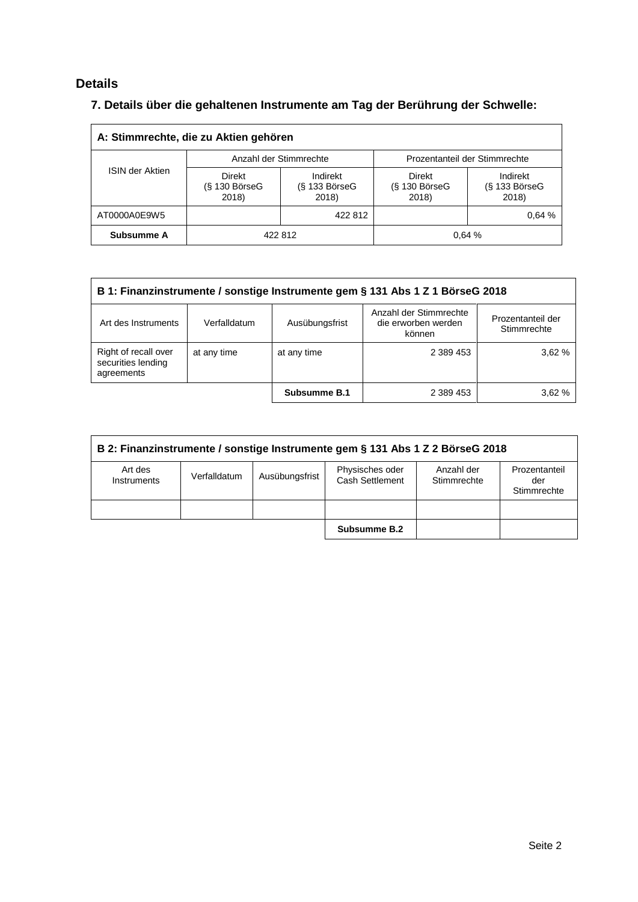## **Details**

## **7. Details über die gehaltenen Instrumente am Tag der Berührung der Schwelle:**

| A: Stimmrechte, die zu Aktien gehören |                                    |                                      |                                           |                                      |  |  |
|---------------------------------------|------------------------------------|--------------------------------------|-------------------------------------------|--------------------------------------|--|--|
|                                       |                                    | Anzahl der Stimmrechte               | Prozentanteil der Stimmrechte             |                                      |  |  |
| <b>ISIN der Aktien</b>                | Direkt<br>$(S$ 130 BörseG<br>2018) | Indirekt<br>$(S$ 133 BörseG<br>2018) | <b>Direkt</b><br>$(S$ 130 BörseG<br>2018) | Indirekt<br>$(S$ 133 BörseG<br>2018) |  |  |
| AT0000A0E9W5                          |                                    | 422 812                              |                                           | 0.64%                                |  |  |
| Subsumme A                            | 422 812                            |                                      | 0.64%                                     |                                      |  |  |

| B 1: Finanzinstrumente / sonstige Instrumente gem § 131 Abs 1 Z 1 BörseG 2018 |              |                |                                                         |                                  |  |
|-------------------------------------------------------------------------------|--------------|----------------|---------------------------------------------------------|----------------------------------|--|
| Art des Instruments                                                           | Verfalldatum | Ausübungsfrist | Anzahl der Stimmrechte<br>die erworben werden<br>können | Prozentanteil der<br>Stimmrechte |  |
| Right of recall over<br>securities lending<br>agreements                      | at any time  | at any time    | 2 389 453                                               | 3.62 %                           |  |
|                                                                               |              | Subsumme B.1   | 2 389 453                                               | 3.62%                            |  |

| B 2: Finanzinstrumente / sonstige Instrumente gem § 131 Abs 1 Z 2 BörseG 2018 |              |                |                                    |                           |                                     |
|-------------------------------------------------------------------------------|--------------|----------------|------------------------------------|---------------------------|-------------------------------------|
| Art des<br>Instruments                                                        | Verfalldatum | Ausübungsfrist | Physisches oder<br>Cash Settlement | Anzahl der<br>Stimmrechte | Prozentanteil<br>der<br>Stimmrechte |
|                                                                               |              |                |                                    |                           |                                     |
|                                                                               |              |                | Subsumme B.2                       |                           |                                     |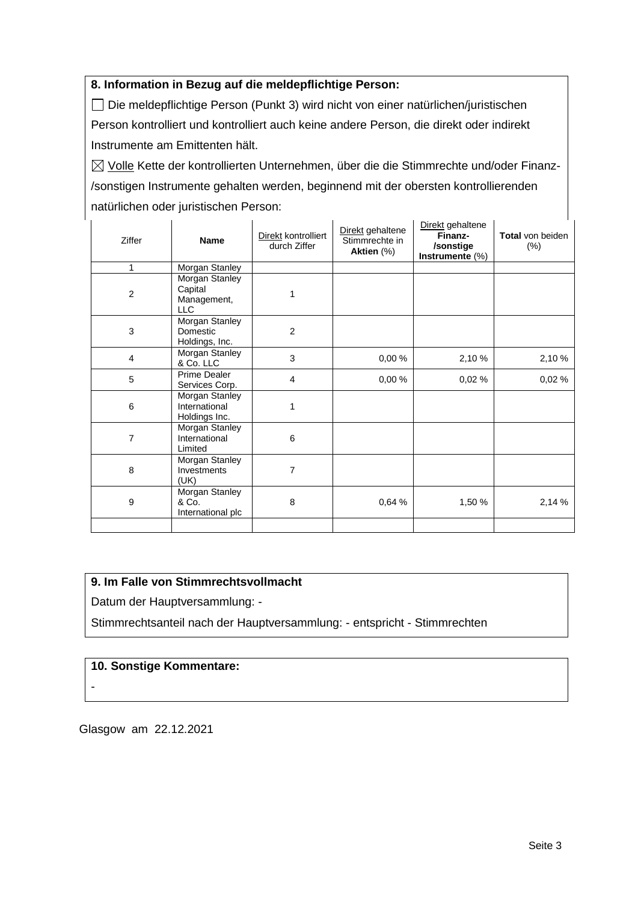### **8. Information in Bezug auf die meldepflichtige Person:**

Die meldepflichtige Person (Punkt 3) wird nicht von einer natürlichen/juristischen Person kontrolliert und kontrolliert auch keine andere Person, die direkt oder indirekt Instrumente am Emittenten hält.

 $\boxtimes$  Volle Kette der kontrollierten Unternehmen, über die die Stimmrechte und/oder Finanz-/sonstigen Instrumente gehalten werden, beginnend mit der obersten kontrollierenden natürlichen oder juristischen Person:

| Ziffer                  | <b>Name</b>                                            | Direkt kontrolliert<br>durch Ziffer | Direkt gehaltene<br>Stimmrechte in<br>Aktien (%) | Direkt gehaltene<br>Finanz-<br>/sonstige<br>Instrumente (%) | Total von beiden<br>$(\% )$ |
|-------------------------|--------------------------------------------------------|-------------------------------------|--------------------------------------------------|-------------------------------------------------------------|-----------------------------|
| 1                       | Morgan Stanley                                         |                                     |                                                  |                                                             |                             |
| $\overline{c}$          | Morgan Stanley<br>Capital<br>Management,<br><b>LLC</b> | 1                                   |                                                  |                                                             |                             |
| 3                       | Morgan Stanley<br>Domestic<br>Holdings, Inc.           | $\overline{2}$                      |                                                  |                                                             |                             |
| $\overline{\mathbf{4}}$ | Morgan Stanley<br>& Co. LLC                            | 3                                   | 0,00%                                            | 2,10 %                                                      | 2,10 %                      |
| 5                       | Prime Dealer<br>Services Corp.                         | 4                                   | 0,00%                                            | 0,02%                                                       | 0,02%                       |
| 6                       | Morgan Stanley<br>International<br>Holdings Inc.       | 1                                   |                                                  |                                                             |                             |
| $\overline{7}$          | Morgan Stanley<br>International<br>Limited             | 6                                   |                                                  |                                                             |                             |
| 8                       | Morgan Stanley<br>Investments<br>(UK)                  | 7                                   |                                                  |                                                             |                             |
| 9                       | Morgan Stanley<br>& Co.<br>International plc           | 8                                   | 0,64 %                                           | 1,50 %                                                      | 2,14 %                      |
|                         |                                                        |                                     |                                                  |                                                             |                             |

## **9. Im Falle von Stimmrechtsvollmacht**

Datum der Hauptversammlung: -

Stimmrechtsanteil nach der Hauptversammlung: - entspricht - Stimmrechten

## **10. Sonstige Kommentare:**

-

Glasgow am 22.12.2021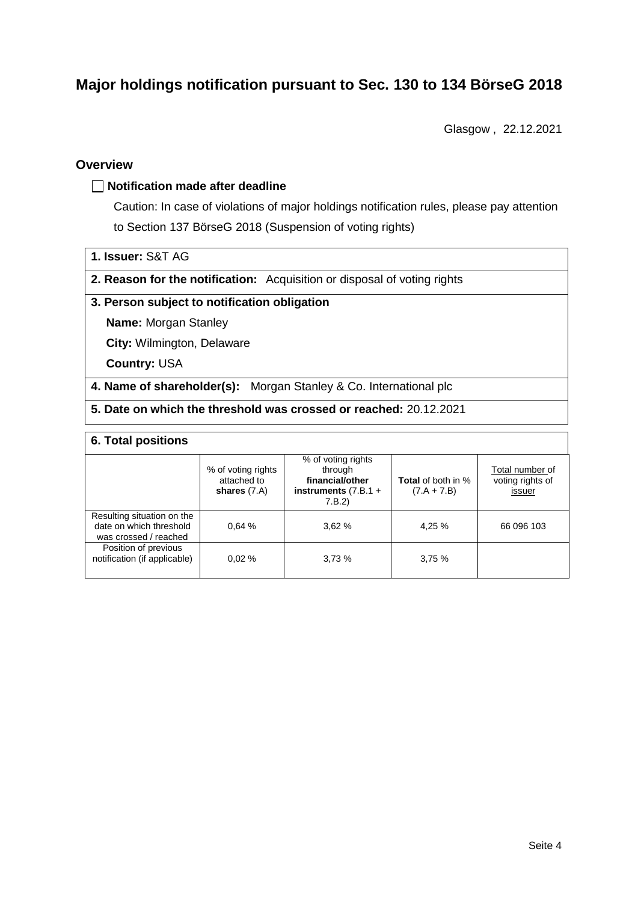# **Major holdings notification pursuant to Sec. 130 to 134 BörseG 2018**

Glasgow , 22.12.2021

## **Overview**

### **Notification made after deadline**

Caution: In case of violations of major holdings notification rules, please pay attention to Section 137 BörseG 2018 (Suspension of voting rights)

- **1. Issuer:** S&T AG
- **2. Reason for the notification:** Acquisition or disposal of voting rights

### **3. Person subject to notification obligation**

**Name:** Morgan Stanley

**City:** Wilmington, Delaware

**Country:** USA

- **4. Name of shareholder(s):** Morgan Stanley & Co. International plc
- **5. Date on which the threshold was crossed or reached:** 20.12.2021

#### **6. Total positions**

|                                                                                | % of voting rights<br>attached to<br>shares $(7.A)$ | % of voting rights<br>through<br>financial/other<br>instruments $(7.B.1 +$<br>7.B.2 | <b>Total</b> of both in %<br>$(7.A + 7.B)$ | Total number of<br>voting rights of<br>issuer |  |  |
|--------------------------------------------------------------------------------|-----------------------------------------------------|-------------------------------------------------------------------------------------|--------------------------------------------|-----------------------------------------------|--|--|
| Resulting situation on the<br>date on which threshold<br>was crossed / reached | 0.64%                                               | 3.62%                                                                               | 4.25 %                                     | 66 096 103                                    |  |  |
| Position of previous<br>notification (if applicable)                           | 0.02%                                               | 3.73%                                                                               | 3.75%                                      |                                               |  |  |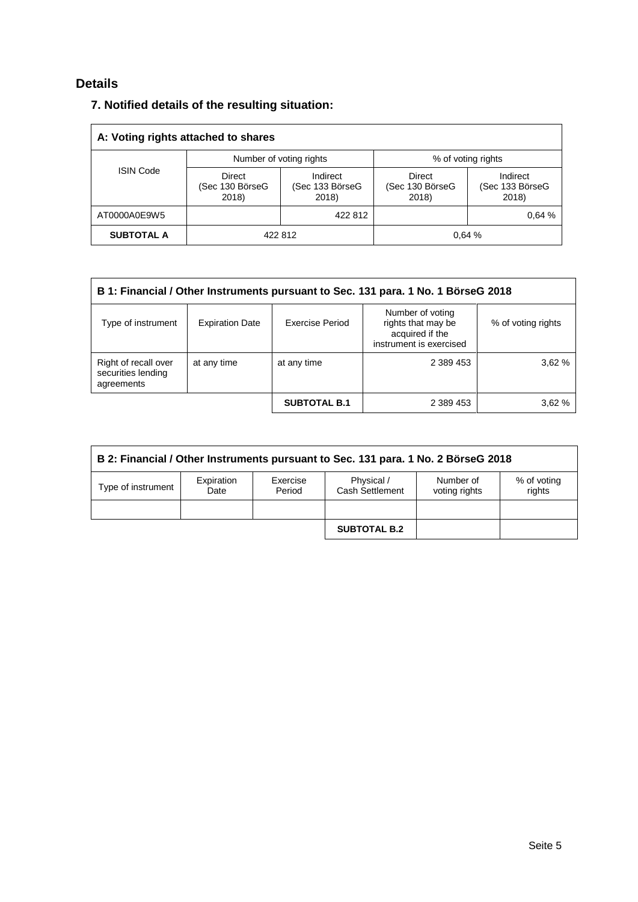## **Details**

|  |  |  |  |  | 7. Notified details of the resulting situation: |
|--|--|--|--|--|-------------------------------------------------|
|--|--|--|--|--|-------------------------------------------------|

| A: Voting rights attached to shares |                                    |                                      |                                           |                                      |  |  |
|-------------------------------------|------------------------------------|--------------------------------------|-------------------------------------------|--------------------------------------|--|--|
| <b>ISIN Code</b>                    |                                    | Number of voting rights              | % of voting rights                        |                                      |  |  |
|                                     | Direct<br>(Sec 130 BörseG<br>2018) | Indirect<br>(Sec 133 BörseG<br>2018) | <b>Direct</b><br>(Sec 130 BörseG<br>2018) | Indirect<br>(Sec 133 BörseG<br>2018) |  |  |
| AT0000A0E9W5                        |                                    | 422 812                              |                                           | 0.64 %                               |  |  |
| <b>SUBTOTAL A</b>                   | 422 812                            |                                      |                                           | 0.64%                                |  |  |

| B 1: Financial / Other Instruments pursuant to Sec. 131 para. 1 No. 1 BörseG 2018 |                        |                     |                                                                                      |                    |  |
|-----------------------------------------------------------------------------------|------------------------|---------------------|--------------------------------------------------------------------------------------|--------------------|--|
| Type of instrument                                                                | <b>Expiration Date</b> | Exercise Period     | Number of voting<br>rights that may be<br>acquired if the<br>instrument is exercised | % of voting rights |  |
| Right of recall over<br>securities lending<br>agreements                          | at any time            | at any time         | 2 389 453                                                                            | 3,62%              |  |
|                                                                                   |                        | <b>SUBTOTAL B.1</b> | 2 389 453                                                                            | 3.62%              |  |

| B 2: Financial / Other Instruments pursuant to Sec. 131 para. 1 No. 2 BörseG 2018 |                    |                    |                               |                            |                       |
|-----------------------------------------------------------------------------------|--------------------|--------------------|-------------------------------|----------------------------|-----------------------|
| Type of instrument                                                                | Expiration<br>Date | Exercise<br>Period | Physical /<br>Cash Settlement | Number of<br>voting rights | % of voting<br>rights |
|                                                                                   |                    |                    |                               |                            |                       |
|                                                                                   |                    |                    | <b>SUBTOTAL B.2</b>           |                            |                       |